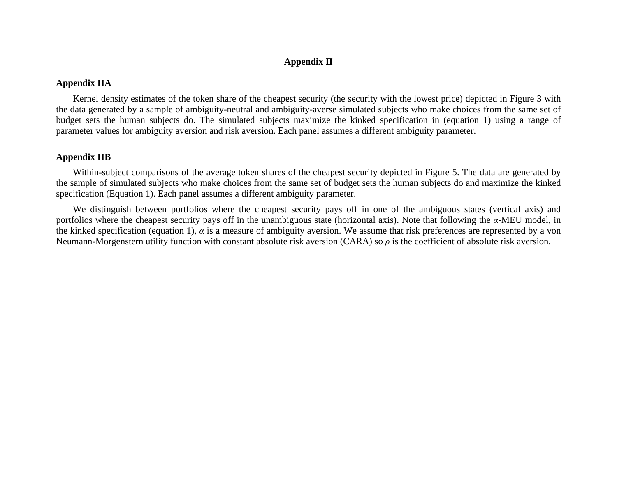## **Appendix II**

## **Appendix IIA**

Kernel density estimates of the token share of the cheapest security (the security with the lowest price) depicted in Figure 3 with the data generated by a sample of ambiguity-neutral and ambiguity-averse simulated subjects who make choices from the same set of budget sets the human subjects do. The simulated subjects maximize the kinked specification in (equation 1) using a range of parameter values for ambiguity aversion and risk aversion. Each panel assumes a different ambiguity parameter.

## **Appendix IIB**

Within-subject comparisons of the average token shares of the cheapest security depicted in Figure 5. The data are generated by the sample of simulated subjects who make choices from the same set of budget sets the human subjects do and maximize the kinked specification (Equation 1). Each panel assumes a different ambiguity parameter.

We distinguish between portfolios where the cheapest security pays off in one of the ambiguous states (vertical axis) and portfolios where the cheapest security pays off in the unambiguous state (horizontal axis). Note that following the *α*-MEU model, in the kinked specification (equation 1),  $\alpha$  is a measure of ambiguity aversion. We assume that risk preferences are represented by a von Neumann-Morgenstern utility function with constant absolute risk aversion (CARA) so *ρ* is the coefficient of absolute risk aversion.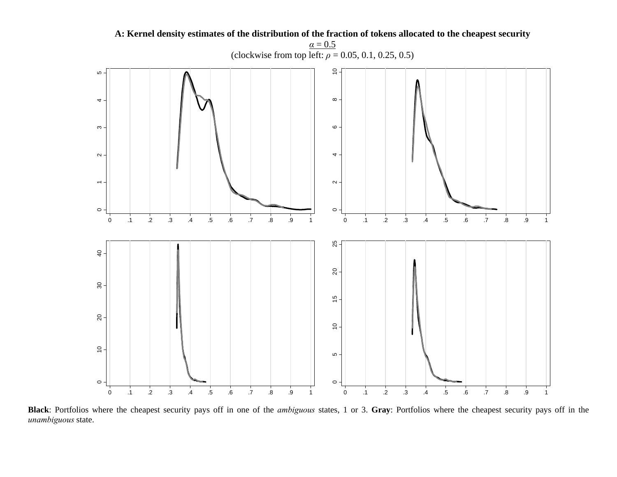

**Black**: Portfolios where the cheapest security pays off in one of the *ambiguous* states, 1 or 3. **Gray**: Portfolios where the cheapest security pays off in the *unambiguous* state.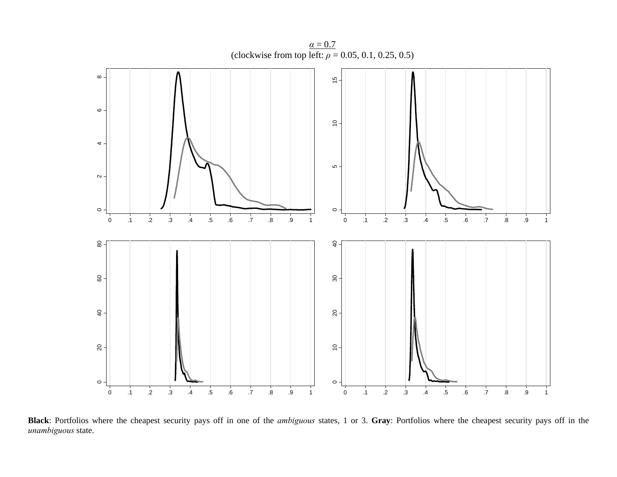

(clockwise from top left:  $\rho = 0.05, 0.1, 0.25, 0.5$ )

**Black**: Portfolios where the cheapest security pays off in one of the *ambiguous* states, 1 or 3. **Gray**: Portfolios where the cheapest security pays off in the *unambiguous* state.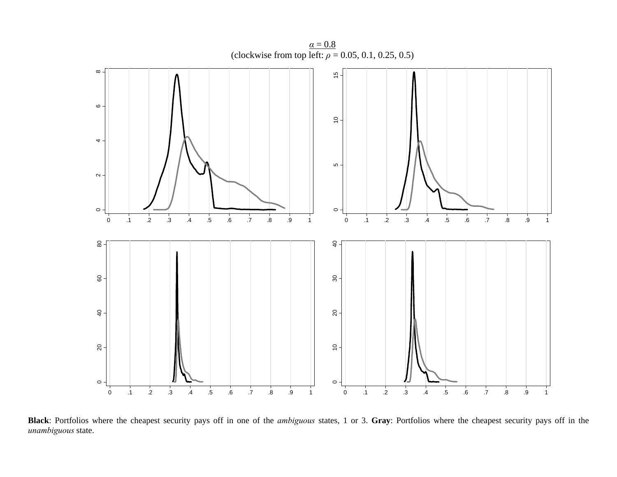

**Black**: Portfolios where the cheapest security pays off in one of the *ambiguous* states, 1 or 3. **Gray**: Portfolios where the cheapest security pays off in the *unambiguous* state.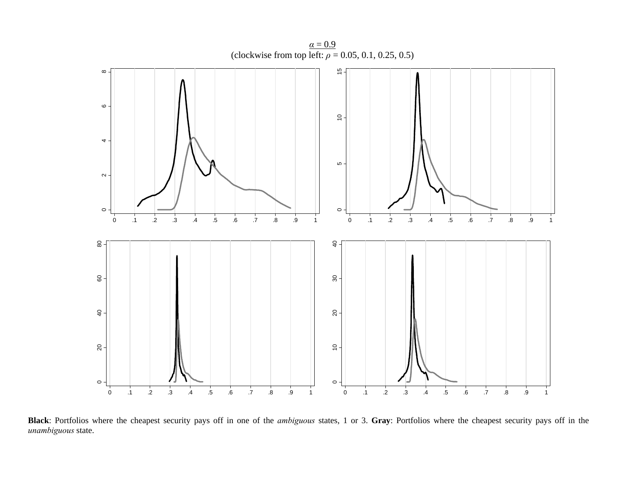

**Black**: Portfolios where the cheapest security pays off in one of the *ambiguous* states, 1 or 3. **Gray**: Portfolios where the cheapest security pays off in the *unambiguous* state.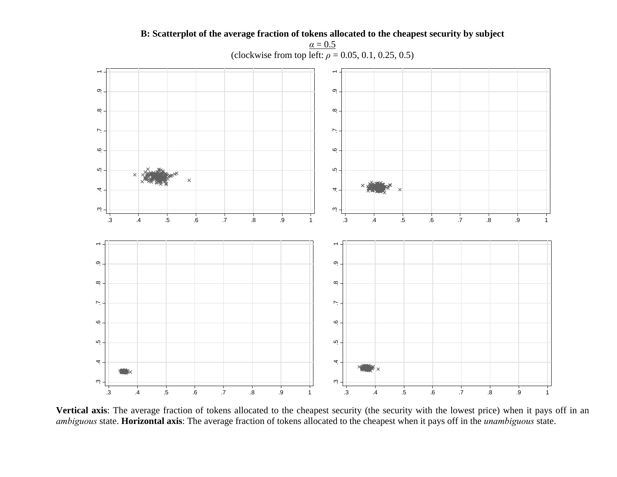

**B: Scatterplot of the average fraction of tokens allocated to the cheapest security by subject**   $\alpha=0.5$ 

**Vertical axis**: The average fraction of tokens allocated to the cheapest security (the security with the lowest price) when it pays off in an *ambiguous* state. **Horizontal axis**: The average fraction of tokens allocated to the cheapest when it pays off in the *unambiguous* state.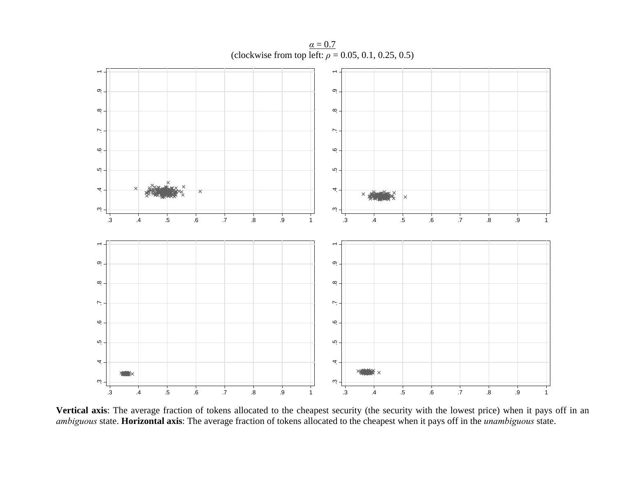$\overline{\phantom{a}}$  $\overline{\phantom{a}}$ တု $\cdot$ က္ .3 .4 .5 .6 .7 .8 .9 .3 .4 .5 .6 .7 .8 .9  $\infty$  $\infty$ .  $\mathord{\sim}$  $\mathord{\sim}$ ِهِ ِ م  $\ddot{\Omega}$ ιņ 4 4 ώ.  $\omega$ .3.3 .4 .5 .6 .7 .8 .9 1 .4 .5 .6 .7 .8 .9 1  $\overline{\phantom{a}}$  $\overline{\phantom{a}}$ တု $\cdot$  $\sigma$ .3 .4 .5 .6 .7 .8 .9 .3 .4 .5 .6 .7 .8 .9  $\infty$  $\infty$ .  $\overline{\phantom{a}}$  $\mathord{\sim}$  $\ddot{\circ}$  - $\ddot{\circ}$  $\ddot{\Omega}$  $\ddot{\Omega}$ 4  $\overline{\mathcal{A}}$  $\ddot{\rm c}$  $\ddot{\rm c}$ .3.3 .4 .5 .6 .7 .8 .9 1 .4 .5 .6 .7 .8 .9 1

 $\alpha = 0.7$ (clockwise from top left:  $\rho = 0.05, 0.1, 0.25, 0.5$ )

**Vertical axis**: The average fraction of tokens allocated to the cheapest security (the security with the lowest price) when it pays off in an *ambiguous* state. **Horizontal axis**: The average fraction of tokens allocated to the cheapest when it pays off in the *unambiguous* state.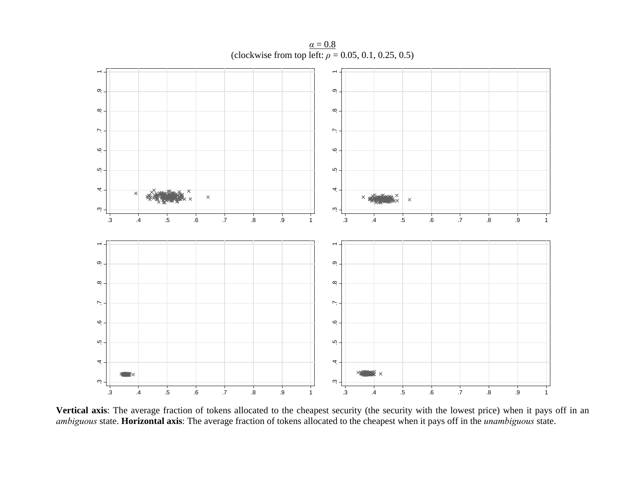$\overline{\phantom{a}}$  $\overline{\phantom{a}}$ တု $\cdot$ က္ .3 .4 .5 .6 .7 .8 .9 .3 .4 .5 .6 .7 .8 .9  $\infty$  $\infty$ .  $\mathord{\sim}$  $\mathord{\sim}$ ِهِ ِ م  $\overline{a}$ ιņ 4 4  $\times$  $\times$  $\times$ ώ.  $\omega$ .3.3 .4 .5 .6 .7 .8 .9 1 .4 .5 .6 .7 .8 .9 1  $\overline{\phantom{a}}$  $\overline{\phantom{a}}$ တု $\cdot$  $\sigma$ .3 .4 .5 .6 .7 .8 .9 .3 .4 .5 .6 .7 .8 .9  $\infty$  $\infty$ .  $\overline{\phantom{a}}$  $\mathord{\sim}$  $\ddot{\circ}$  - $\ddot{\circ}$  $\ddot{\Omega}$  $\ddot{\Omega}$  $\overline{\mathcal{A}}$  $\overline{\mathcal{A}}$  $\ddot{\rm c}$  $\ddot{\rm c}$ .3.3 .4 .5 .6 .7 .8 .9 1 .4 .5 .6 .7 .8 .9 1

 $\alpha=0.8$ (clockwise from top left:  $\rho = 0.05, 0.1, 0.25, 0.5$ )

**Vertical axis**: The average fraction of tokens allocated to the cheapest security (the security with the lowest price) when it pays off in an *ambiguous* state. **Horizontal axis**: The average fraction of tokens allocated to the cheapest when it pays off in the *unambiguous* state.